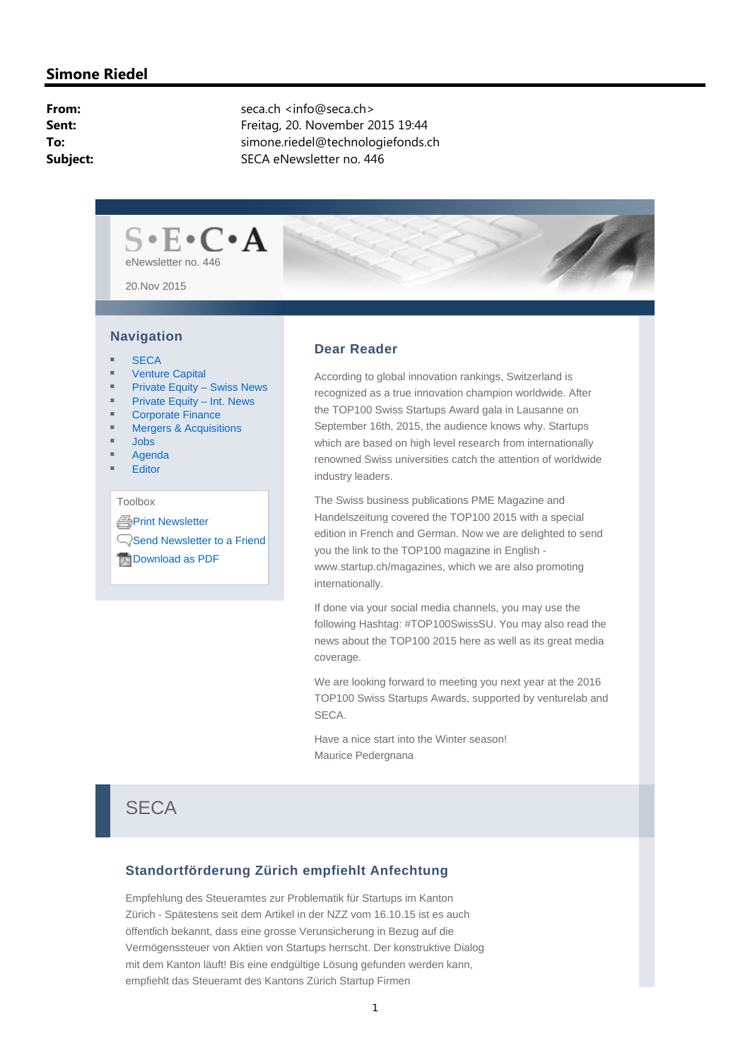## **Simone Riedel**

| From:    |
|----------|
| Sent:    |
| To:      |
| Subject: |

seca.ch <info@seca.ch> **Sent:** Freitag, 20. November 2015 19:44 **To:** simone.riedel@technologiefonds.ch **SECA eNewsletter no. 446** 



#### **Navigation**

- **SECA**
- Venture Capital
- Private Equity Swiss News
- Private Equity Int. News
- Corporate Finance
- Mergers & Acquisitions
- Jobs
- Agenda
- **Editor**

Toolbox

**APrint Newsletter** Send Newsletter to a Friend

**Download as PDF** 

#### **Dear Reader**

According to global innovation rankings, Switzerland is recognized as a true innovation champion worldwide. After the TOP100 Swiss Startups Award gala in Lausanne on September 16th, 2015, the audience knows why. Startups which are based on high level research from internationally renowned Swiss universities catch the attention of worldwide industry leaders.

The Swiss business publications PME Magazine and Handelszeitung covered the TOP100 2015 with a special edition in French and German. Now we are delighted to send you the link to the TOP100 magazine in English www.startup.ch/magazines, which we are also promoting internationally.

If done via your social media channels, you may use the following Hashtag: #TOP100SwissSU. You may also read the news about the TOP100 2015 here as well as its great media coverage.

We are looking forward to meeting you next year at the 2016 TOP100 Swiss Startups Awards, supported by venturelab and SECA.

Have a nice start into the Winter season! Maurice Pedergnana

## **SECA**

#### **Standortförderung Zürich empfiehlt Anfechtung**

Empfehlung des Steueramtes zur Problematik für Startups im Kanton Zürich - Spätestens seit dem Artikel in der NZZ vom 16.10.15 ist es auch öffentlich bekannt, dass eine grosse Verunsicherung in Bezug auf die Vermögenssteuer von Aktien von Startups herrscht. Der konstruktive Dialog mit dem Kanton läuft! Bis eine endgültige Lösung gefunden werden kann, empfiehlt das Steueramt des Kantons Zürich Startup Firmen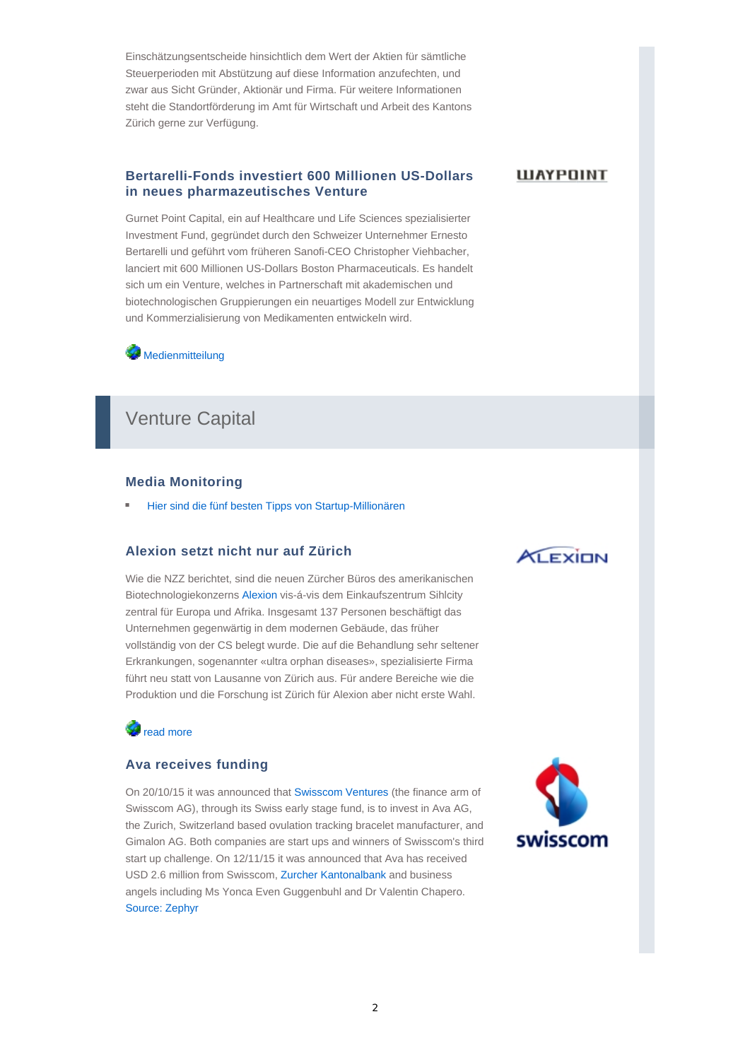Einschätzungsentscheide hinsichtlich dem Wert der Aktien für sämtliche Steuerperioden mit Abstützung auf diese Information anzufechten, und zwar aus Sicht Gründer, Aktionär und Firma. Für weitere Informationen steht die Standortförderung im Amt für Wirtschaft und Arbeit des Kantons Zürich gerne zur Verfügung.

#### **Bertarelli-Fonds investiert 600 Millionen US-Dollars in neues pharmazeutisches Venture**

**WAYPOINT** 

Gurnet Point Capital, ein auf Healthcare und Life Sciences spezialisierter Investment Fund, gegründet durch den Schweizer Unternehmer Ernesto Bertarelli und geführt vom früheren Sanofi-CEO Christopher Viehbacher, lanciert mit 600 Millionen US-Dollars Boston Pharmaceuticals. Es handelt sich um ein Venture, welches in Partnerschaft mit akademischen und biotechnologischen Gruppierungen ein neuartiges Modell zur Entwicklung und Kommerzialisierung von Medikamenten entwickeln wird.

**Medienmitteilung** 

## Venture Capital

#### **Media Monitoring**

Hier sind die fünf besten Tipps von Startup-Millionären

#### **Alexion setzt nicht nur auf Zürich**

Wie die NZZ berichtet, sind die neuen Zürcher Büros des amerikanischen Biotechnologiekonzerns Alexion vis-á-vis dem Einkaufszentrum Sihlcity zentral für Europa und Afrika. Insgesamt 137 Personen beschäftigt das Unternehmen gegenwärtig in dem modernen Gebäude, das früher vollständig von der CS belegt wurde. Die auf die Behandlung sehr seltener Erkrankungen, sogenannter «ultra orphan diseases», spezialisierte Firma führt neu statt von Lausanne von Zürich aus. Für andere Bereiche wie die Produktion und die Forschung ist Zürich für Alexion aber nicht erste Wahl.

## **Starting** read more

## **Ava receives funding**

On 20/10/15 it was announced that Swisscom Ventures (the finance arm of Swisscom AG), through its Swiss early stage fund, is to invest in Ava AG, the Zurich, Switzerland based ovulation tracking bracelet manufacturer, and Gimalon AG. Both companies are start ups and winners of Swisscom's third start up challenge. On 12/11/15 it was announced that Ava has received USD 2.6 million from Swisscom, Zurcher Kantonalbank and business angels including Ms Yonca Even Guggenbuhl and Dr Valentin Chapero. Source: Zephyr



**ALEXION**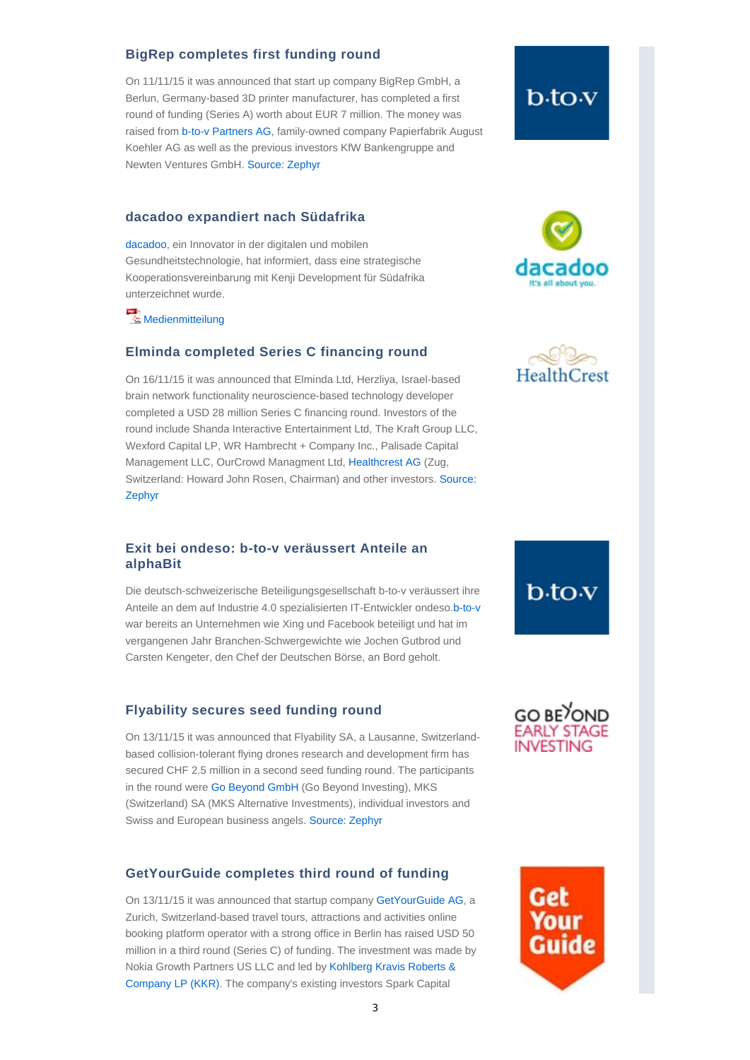#### **BigRep completes first funding round**

On 11/11/15 it was announced that start up company BigRep GmbH, a Berlun, Germany-based 3D printer manufacturer, has completed a first round of funding (Series A) worth about EUR 7 million. The money was raised from b-to-v Partners AG, family-owned company Papierfabrik August Koehler AG as well as the previous investors KfW Bankengruppe and Newten Ventures GmbH. Source: Zephyr

#### **dacadoo expandiert nach Südafrika**

dacadoo, ein Innovator in der digitalen und mobilen Gesundheitstechnologie, hat informiert, dass eine strategische Kooperationsvereinbarung mit Kenji Development für Südafrika unterzeichnet wurde.

**Medienmitteilung** 

#### **Elminda completed Series C financing round**

On 16/11/15 it was announced that Elminda Ltd, Herzliya, Israel-based brain network functionality neuroscience-based technology developer completed a USD 28 million Series C financing round. Investors of the round include Shanda Interactive Entertainment Ltd, The Kraft Group LLC, Wexford Capital LP, WR Hambrecht + Company Inc., Palisade Capital Management LLC, OurCrowd Managment Ltd, Healthcrest AG (Zug, Switzerland: Howard John Rosen, Chairman) and other investors. Source: Zephyr

### **Exit bei ondeso: b-to-v veräussert Anteile an alphaBit**

Die deutsch-schweizerische Beteiligungsgesellschaft b-to-v veräussert ihre Anteile an dem auf Industrie 4.0 spezialisierten IT-Entwickler ondeso.b-to-v war bereits an Unternehmen wie Xing und Facebook beteiligt und hat im vergangenen Jahr Branchen-Schwergewichte wie Jochen Gutbrod und Carsten Kengeter, den Chef der Deutschen Börse, an Bord geholt.

#### **Flyability secures seed funding round**

On 13/11/15 it was announced that Flyability SA, a Lausanne, Switzerlandbased collision-tolerant flying drones research and development firm has secured CHF 2.5 million in a second seed funding round. The participants in the round were Go Beyond GmbH (Go Beyond Investing), MKS (Switzerland) SA (MKS Alternative Investments), individual investors and Swiss and European business angels. Source: Zephyr

#### **GetYourGuide completes third round of funding**

On 13/11/15 it was announced that startup company GetYourGuide AG, a Zurich, Switzerland-based travel tours, attractions and activities online booking platform operator with a strong office in Berlin has raised USD 50 million in a third round (Series C) of funding. The investment was made by Nokia Growth Partners US LLC and led by Kohlberg Kravis Roberts & Company LP (KKR). The company's existing investors Spark Capital

# b<sub>to</sub>v





## **GO BE OND EARLY STAGE** INVESTING

b.to<sub>·</sub>v

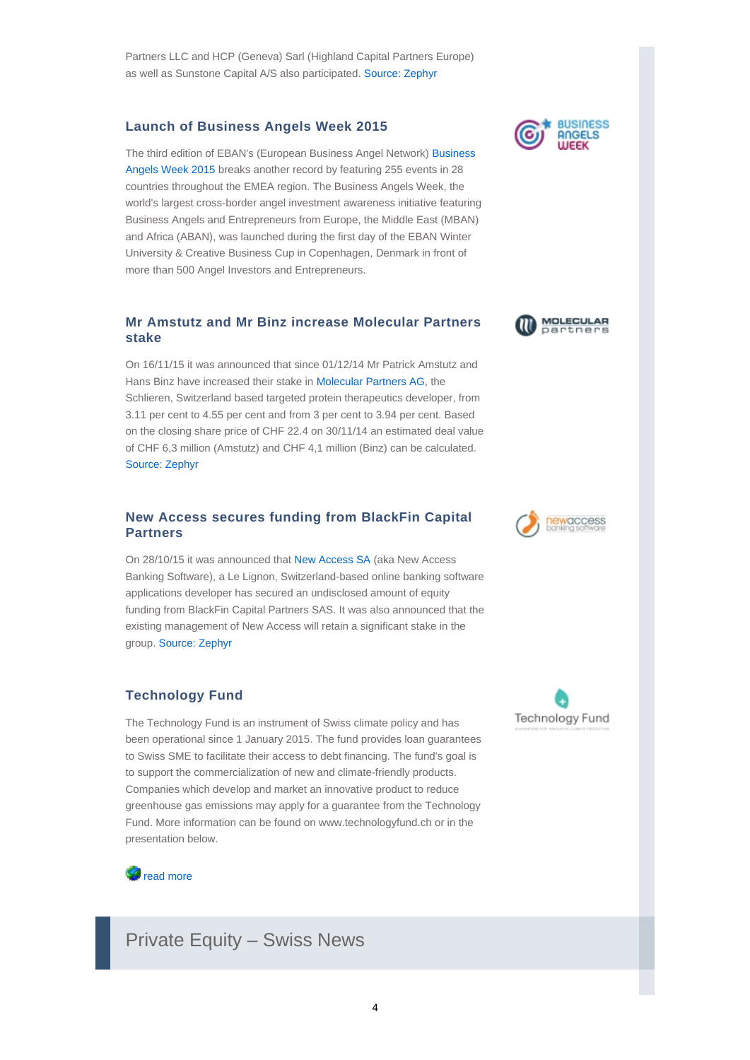## **Launch of Business Angels Week 2015**

The third edition of EBAN's (European Business Angel Network) Business Angels Week 2015 breaks another record by featuring 255 events in 28 countries throughout the EMEA region. The Business Angels Week, the world's largest cross-border angel investment awareness initiative featuring Business Angels and Entrepreneurs from Europe, the Middle East (MBAN) and Africa (ABAN), was launched during the first day of the EBAN Winter University & Creative Business Cup in Copenhagen, Denmark in front of more than 500 Angel Investors and Entrepreneurs.

## **Mr Amstutz and Mr Binz increase Molecular Partners stake**

On 16/11/15 it was announced that since 01/12/14 Mr Patrick Amstutz and Hans Binz have increased their stake in Molecular Partners AG, the Schlieren, Switzerland based targeted protein therapeutics developer, from 3.11 per cent to 4.55 per cent and from 3 per cent to 3.94 per cent. Based on the closing share price of CHF 22.4 on 30/11/14 an estimated deal value of CHF 6,3 million (Amstutz) and CHF 4,1 million (Binz) can be calculated. Source: Zephyr

### **New Access secures funding from BlackFin Capital Partners**

On 28/10/15 it was announced that New Access SA (aka New Access Banking Software), a Le Lignon, Switzerland-based online banking software applications developer has secured an undisclosed amount of equity funding from BlackFin Capital Partners SAS. It was also announced that the existing management of New Access will retain a significant stake in the group. Source: Zephyr

## **Technology Fund**

The Technology Fund is an instrument of Swiss climate policy and has been operational since 1 January 2015. The fund provides loan guarantees to Swiss SME to facilitate their access to debt financing. The fund's goal is to support the commercialization of new and climate-friendly products. Companies which develop and market an innovative product to reduce greenhouse gas emissions may apply for a guarantee from the Technology Fund. More information can be found on www.technologyfund.ch or in the presentation below.



Private Equity – Swiss News







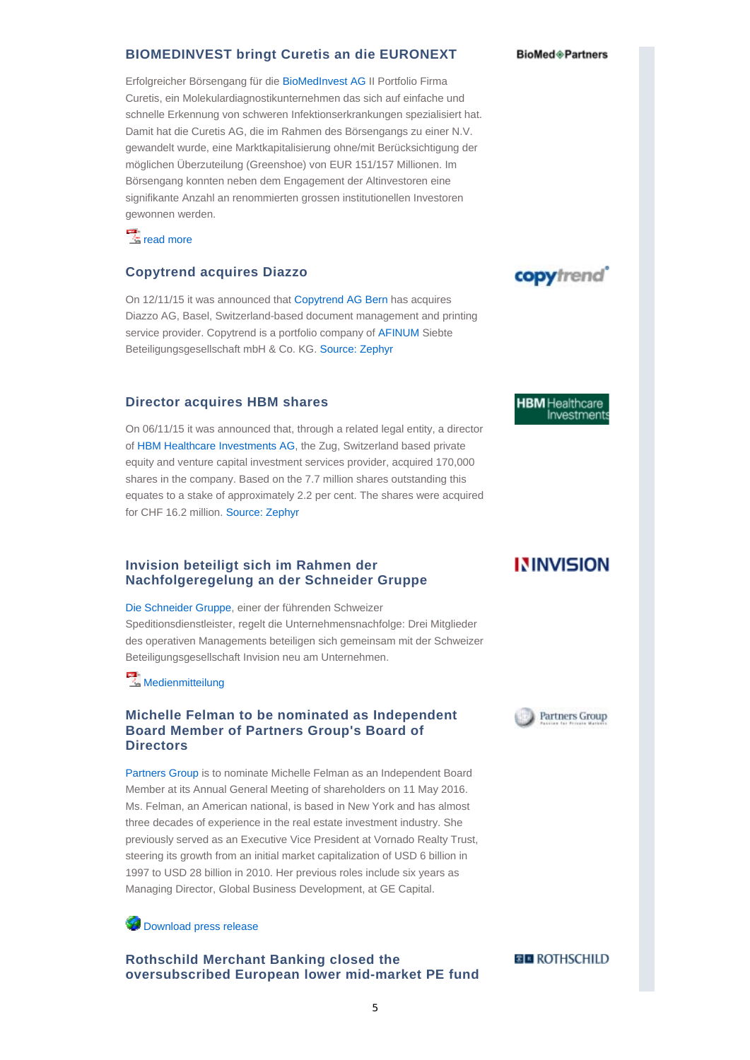#### **BIOMEDINVEST bringt Curetis an die EURONEXT**

Erfolgreicher Börsengang für die BioMedInvest AG II Portfolio Firma Curetis, ein Molekulardiagnostikunternehmen das sich auf einfache und schnelle Erkennung von schweren Infektionserkrankungen spezialisiert hat. Damit hat die Curetis AG, die im Rahmen des Börsengangs zu einer N.V. gewandelt wurde, eine Marktkapitalisierung ohne/mit Berücksichtigung der möglichen Überzuteilung (Greenshoe) von EUR 151/157 Millionen. Im Börsengang konnten neben dem Engagement der Altinvestoren eine signifikante Anzahl an renommierten grossen institutionellen Investoren gewonnen werden.

 $\frac{1}{2}$  read more

#### **Copytrend acquires Diazzo**

On 12/11/15 it was announced that Copytrend AG Bern has acquires Diazzo AG, Basel, Switzerland-based document management and printing service provider. Copytrend is a portfolio company of AFINUM Siebte Beteiligungsgesellschaft mbH & Co. KG. Source: Zephyr

#### **Director acquires HBM shares**

On 06/11/15 it was announced that, through a related legal entity, a director of HBM Healthcare Investments AG, the Zug, Switzerland based private equity and venture capital investment services provider, acquired 170,000 shares in the company. Based on the 7.7 million shares outstanding this equates to a stake of approximately 2.2 per cent. The shares were acquired for CHF 16.2 million. Source: Zephyr

#### **Invision beteiligt sich im Rahmen der Nachfolgeregelung an der Schneider Gruppe**

Die Schneider Gruppe, einer der führenden Schweizer Speditionsdienstleister, regelt die Unternehmensnachfolge: Drei Mitglieder des operativen Managements beteiligen sich gemeinsam mit der Schweizer Beteiligungsgesellschaft Invision neu am Unternehmen.

**Medienmitteilung** 

#### **Michelle Felman to be nominated as Independent Board Member of Partners Group's Board of Directors**

Partners Group is to nominate Michelle Felman as an Independent Board Member at its Annual General Meeting of shareholders on 11 May 2016. Ms. Felman, an American national, is based in New York and has almost three decades of experience in the real estate investment industry. She previously served as an Executive Vice President at Vornado Realty Trust, steering its growth from an initial market capitalization of USD 6 billion in 1997 to USD 28 billion in 2010. Her previous roles include six years as Managing Director, Global Business Development, at GE Capital.

**Download press release** 

**Rothschild Merchant Banking closed the oversubscribed European lower mid-market PE fund**

#### **BioMed**<sup>®</sup> Partners



**HBM** Healthcare Investments

## **ININVISION**



**BE ROTHSCHILD**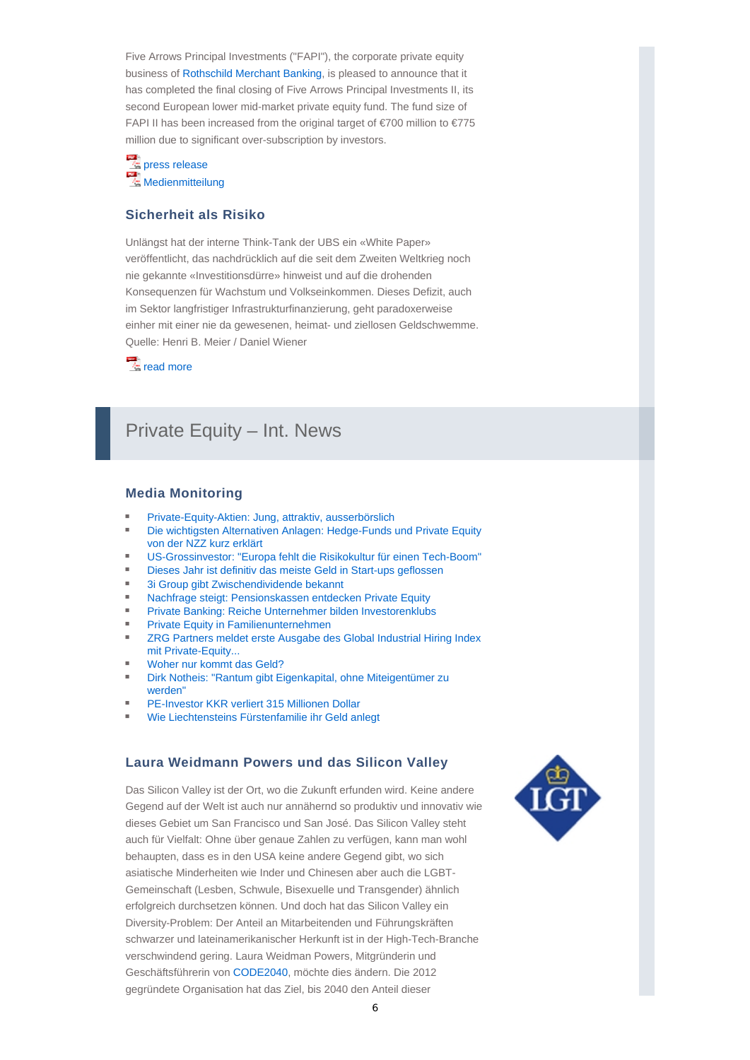Five Arrows Principal Investments ("FAPI"), the corporate private equity business of Rothschild Merchant Banking, is pleased to announce that it has completed the final closing of Five Arrows Principal Investments II, its second European lower mid-market private equity fund. The fund size of FAPI II has been increased from the original target of €700 million to €775 million due to significant over-subscription by investors.

press release  $\vec{r}$ **Medienmitteilung** 

#### **Sicherheit als Risiko**

Unlängst hat der interne Think-Tank der UBS ein «White Paper» veröffentlicht, das nachdrücklich auf die seit dem Zweiten Weltkrieg noch nie gekannte «Investitionsdürre» hinweist und auf die drohenden Konsequenzen für Wachstum und Volkseinkommen. Dieses Defizit, auch im Sektor langfristiger Infrastrukturfinanzierung, geht paradoxerweise einher mit einer nie da gewesenen, heimat- und ziellosen Geldschwemme. Quelle: Henri B. Meier / Daniel Wiener

 $\frac{1}{2}$  read more

## Private Equity – Int. News

#### **Media Monitoring**

- Private-Equity-Aktien: Jung, attraktiv, ausserbörslich
- Die wichtigsten Alternativen Anlagen: Hedge-Funds und Private Equity von der NZZ kurz erklärt
- US-Grossinvestor: "Europa fehlt die Risikokultur für einen Tech-Boom"
- Dieses Jahr ist definitiv das meiste Geld in Start-ups geflossen
- 3i Group gibt Zwischendividende bekannt
- Nachfrage steigt: Pensionskassen entdecken Private Equity
- Private Banking: Reiche Unternehmer bilden Investorenklubs
- Private Equity in Familienunternehmen
- **EXEG** Partners meldet erste Ausgabe des Global Industrial Hiring Index mit Private-Equity...
- Woher nur kommt das Geld?
- Dirk Notheis: "Rantum gibt Eigenkapital, ohne Miteigentümer zu werden"
- PE-Investor KKR verliert 315 Millionen Dollar
- Wie Liechtensteins Fürstenfamilie ihr Geld anlegt

#### **Laura Weidmann Powers und das Silicon Valley**

Das Silicon Valley ist der Ort, wo die Zukunft erfunden wird. Keine andere Gegend auf der Welt ist auch nur annähernd so produktiv und innovativ wie dieses Gebiet um San Francisco und San José. Das Silicon Valley steht auch für Vielfalt: Ohne über genaue Zahlen zu verfügen, kann man wohl behaupten, dass es in den USA keine andere Gegend gibt, wo sich asiatische Minderheiten wie Inder und Chinesen aber auch die LGBT-Gemeinschaft (Lesben, Schwule, Bisexuelle und Transgender) ähnlich erfolgreich durchsetzen können. Und doch hat das Silicon Valley ein Diversity-Problem: Der Anteil an Mitarbeitenden und Führungskräften schwarzer und lateinamerikanischer Herkunft ist in der High-Tech-Branche verschwindend gering. Laura Weidman Powers, Mitgründerin und Geschäftsführerin von CODE2040, möchte dies ändern. Die 2012 gegründete Organisation hat das Ziel, bis 2040 den Anteil dieser

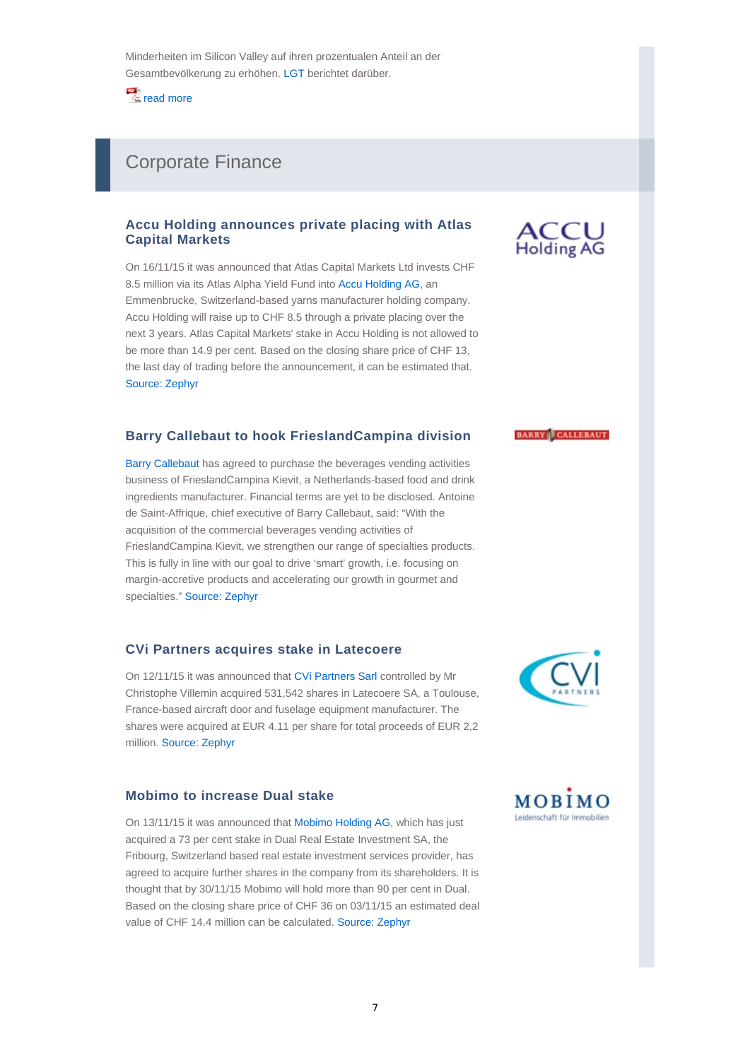$\frac{1}{2}$  read more

## Corporate Finance

### **Accu Holding announces private placing with Atlas Capital Markets**

On 16/11/15 it was announced that Atlas Capital Markets Ltd invests CHF 8.5 million via its Atlas Alpha Yield Fund into Accu Holding AG, an Emmenbrucke, Switzerland-based yarns manufacturer holding company. Accu Holding will raise up to CHF 8.5 through a private placing over the next 3 years. Atlas Capital Markets' stake in Accu Holding is not allowed to be more than 14.9 per cent. Based on the closing share price of CHF 13, the last day of trading before the announcement, it can be estimated that. Source: Zephyr

#### **Barry Callebaut to hook FrieslandCampina division**

Barry Callebaut has agreed to purchase the beverages vending activities business of FrieslandCampina Kievit, a Netherlands-based food and drink ingredients manufacturer. Financial terms are yet to be disclosed. Antoine de Saint-Affrique, chief executive of Barry Callebaut, said: "With the acquisition of the commercial beverages vending activities of FrieslandCampina Kievit, we strengthen our range of specialties products. This is fully in line with our goal to drive 'smart' growth, i.e. focusing on margin-accretive products and accelerating our growth in gourmet and specialties." Source: Zephyr

#### **CVi Partners acquires stake in Latecoere**

On 12/11/15 it was announced that CVi Partners Sarl controlled by Mr Christophe Villemin acquired 531,542 shares in Latecoere SA, a Toulouse, France-based aircraft door and fuselage equipment manufacturer. The shares were acquired at EUR 4.11 per share for total proceeds of EUR 2,2 million. Source: Zephyr

#### **Mobimo to increase Dual stake**

On 13/11/15 it was announced that Mobimo Holding AG, which has just acquired a 73 per cent stake in Dual Real Estate Investment SA, the Fribourg, Switzerland based real estate investment services provider, has agreed to acquire further shares in the company from its shareholders. It is thought that by 30/11/15 Mobimo will hold more than 90 per cent in Dual. Based on the closing share price of CHF 36 on 03/11/15 an estimated deal value of CHF 14.4 million can be calculated. Source: Zephyr



#### **BARRY** CALLEBAUT



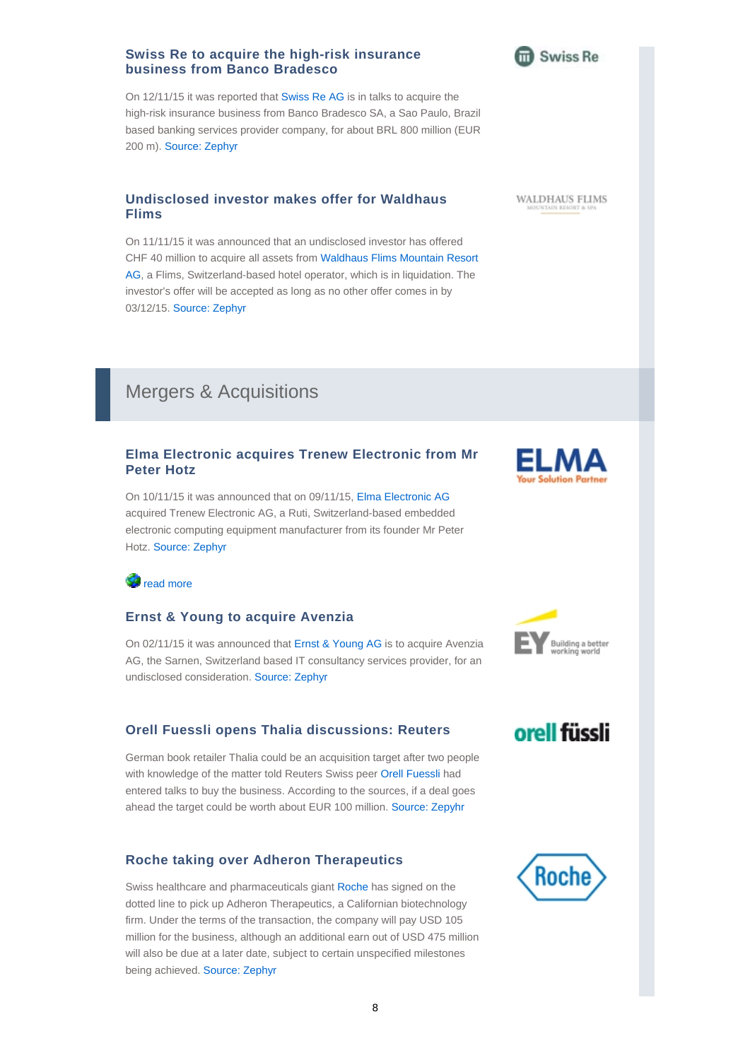## **Swiss Re to acquire the high-risk insurance business from Banco Bradesco**

On 12/11/15 it was reported that Swiss Re AG is in talks to acquire the high-risk insurance business from Banco Bradesco SA, a Sao Paulo, Brazil based banking services provider company, for about BRL 800 million (EUR 200 m). Source: Zephyr

## **Undisclosed investor makes offer for Waldhaus Flims**

On 11/11/15 it was announced that an undisclosed investor has offered CHF 40 million to acquire all assets from Waldhaus Flims Mountain Resort AG, a Flims, Switzerland-based hotel operator, which is in liquidation. The investor's offer will be accepted as long as no other offer comes in by 03/12/15. Source: Zephyr

## Mergers & Acquisitions

## **Elma Electronic acquires Trenew Electronic from Mr Peter Hotz**

On 10/11/15 it was announced that on 09/11/15, Elma Electronic AG acquired Trenew Electronic AG, a Ruti, Switzerland-based embedded electronic computing equipment manufacturer from its founder Mr Peter Hotz. Source: Zephyr

## *d* read more

## **Ernst & Young to acquire Avenzia**

On 02/11/15 it was announced that Ernst & Young AG is to acquire Avenzia AG, the Sarnen, Switzerland based IT consultancy services provider, for an undisclosed consideration. Source: Zephyr

## **Orell Fuessli opens Thalia discussions: Reuters**

German book retailer Thalia could be an acquisition target after two people with knowledge of the matter told Reuters Swiss peer Orell Fuessli had entered talks to buy the business. According to the sources, if a deal goes ahead the target could be worth about EUR 100 million. Source: Zepyhr

## **Roche taking over Adheron Therapeutics**

Swiss healthcare and pharmaceuticals giant Roche has signed on the dotted line to pick up Adheron Therapeutics, a Californian biotechnology firm. Under the terms of the transaction, the company will pay USD 105 million for the business, although an additional earn out of USD 475 million will also be due at a later date, subject to certain unspecified milestones being achieved. Source: Zephyr





ELN





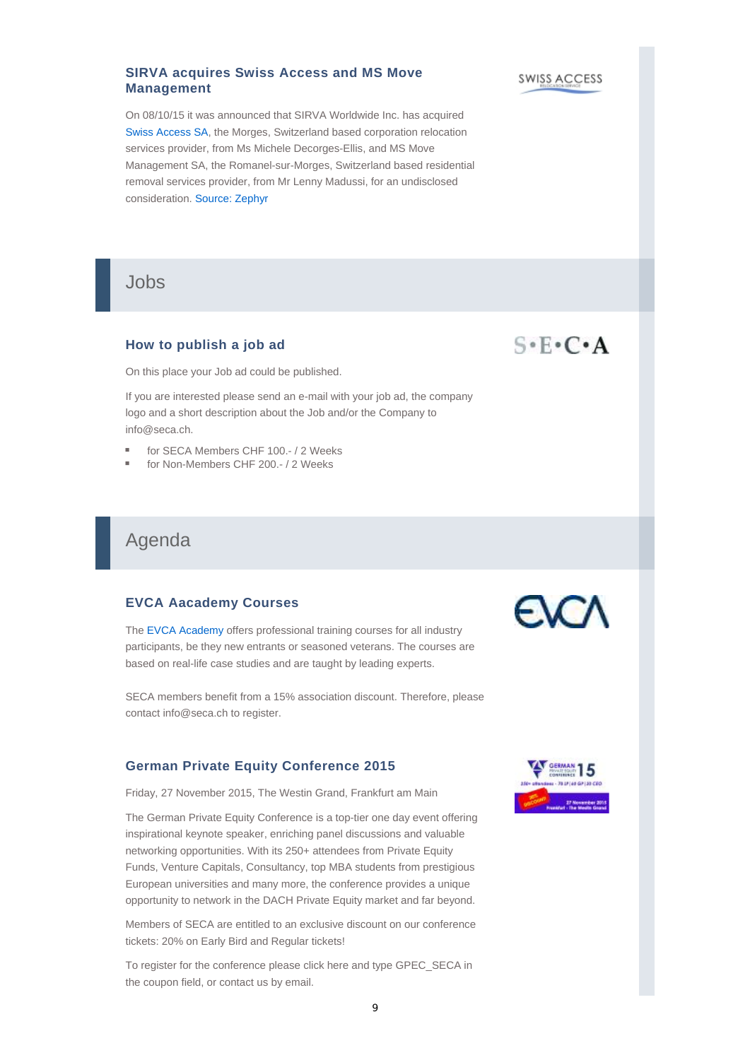### **SIRVA acquires Swiss Access and MS Move Management**

On 08/10/15 it was announced that SIRVA Worldwide Inc. has acquired Swiss Access SA, the Morges, Switzerland based corporation relocation services provider, from Ms Michele Decorges-Ellis, and MS Move Management SA, the Romanel-sur-Morges, Switzerland based residential removal services provider, from Mr Lenny Madussi, for an undisclosed consideration. Source: Zephyr

Jobs

## **How to publish a job ad**

On this place your Job ad could be published.

If you are interested please send an e-mail with your job ad, the company logo and a short description about the Job and/or the Company to info@seca.ch.

- for SECA Members CHF 100.- / 2 Weeks
- for Non-Members CHF 200.- / 2 Weeks

## Agenda

### **EVCA Aacademy Courses**

The EVCA Academy offers professional training courses for all industry participants, be they new entrants or seasoned veterans. The courses are based on real-life case studies and are taught by leading experts.

SECA members benefit from a 15% association discount. Therefore, please contact info@seca.ch to register.

## **German Private Equity Conference 2015**

Friday, 27 November 2015, The Westin Grand, Frankfurt am Main

The German Private Equity Conference is a top-tier one day event offering inspirational keynote speaker, enriching panel discussions and valuable networking opportunities. With its 250+ attendees from Private Equity Funds, Venture Capitals, Consultancy, top MBA students from prestigious European universities and many more, the conference provides a unique opportunity to network in the DACH Private Equity market and far beyond.

Members of SECA are entitled to an exclusive discount on our conference tickets: 20% on Early Bird and Regular tickets!

To register for the conference please click here and type GPEC\_SECA in the coupon field, or contact us by email.



# $S \cdot F \cdot C \cdot A$

SWISS ACCESS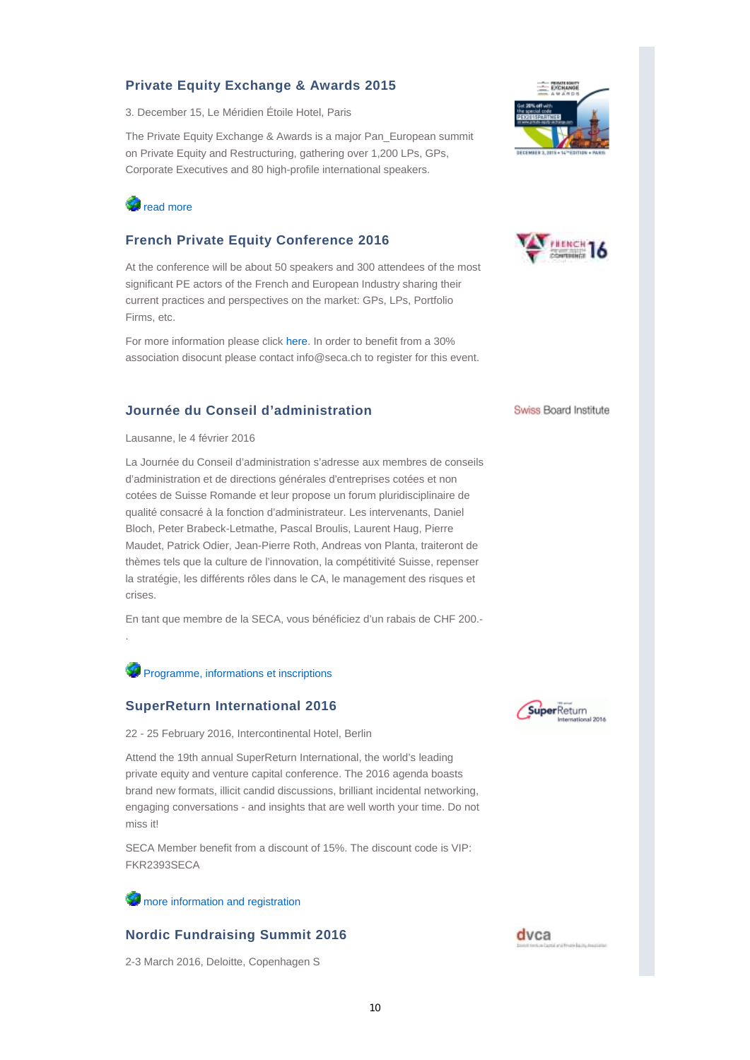## **Private Equity Exchange & Awards 2015**

3. December 15, Le Méridien Étoile Hotel, Paris

The Private Equity Exchange & Awards is a major Pan\_European summit on Private Equity and Restructuring, gathering over 1,200 LPs, GPs, Corporate Executives and 80 high-profile international speakers.



## **French Private Equity Conference 2016**

At the conference will be about 50 speakers and 300 attendees of the most significant PE actors of the French and European Industry sharing their current practices and perspectives on the market: GPs, LPs, Portfolio Firms, etc.

For more information please click here. In order to benefit from a 30% association disocunt please contact info@seca.ch to register for this event.

### **Journée du Conseil d'administration**

Lausanne, le 4 février 2016

.

La Journée du Conseil d'administration s'adresse aux membres de conseils d'administration et de directions générales d'entreprises cotées et non cotées de Suisse Romande et leur propose un forum pluridisciplinaire de qualité consacré à la fonction d'administrateur. Les intervenants, Daniel Bloch, Peter Brabeck-Letmathe, Pascal Broulis, Laurent Haug, Pierre Maudet, Patrick Odier, Jean-Pierre Roth, Andreas von Planta, traiteront de thèmes tels que la culture de l'innovation, la compétitivité Suisse, repenser la stratégie, les différents rôles dans le CA, le management des risques et crises.

En tant que membre de la SECA, vous bénéficiez d'un rabais de CHF 200.-

Programme, informations et inscriptions

#### **SuperReturn International 2016**

22 - 25 February 2016, Intercontinental Hotel, Berlin

Attend the 19th annual SuperReturn International, the world's leading private equity and venture capital conference. The 2016 agenda boasts brand new formats, illicit candid discussions, brilliant incidental networking, engaging conversations - and insights that are well worth your time. Do not miss it!

SECA Member benefit from a discount of 15%. The discount code is VIP: FKR2393SECA

#### **W** more information and registration

## **Nordic Fundraising Summit 2016**

2-3 March 2016, Deloitte, Copenhagen S





Swiss Board Institute



dvca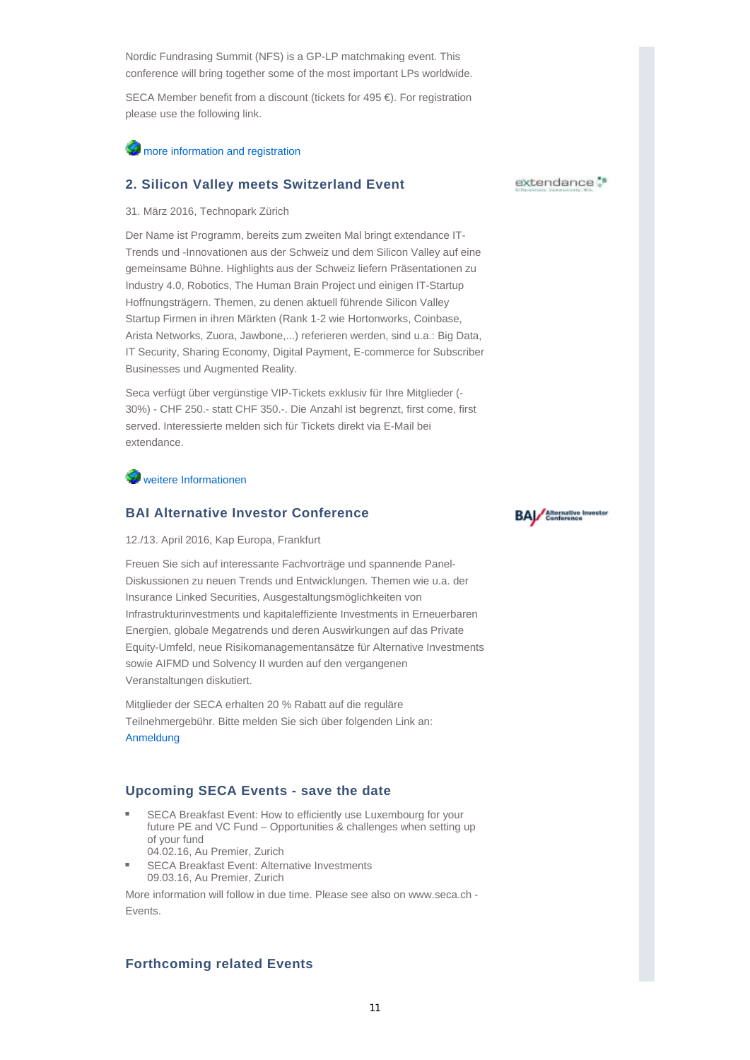Nordic Fundrasing Summit (NFS) is a GP-LP matchmaking event. This conference will bring together some of the most important LPs worldwide.

SECA Member benefit from a discount (tickets for 495 €). For registration please use the following link.

### **W** more information and registration

#### **2. Silicon Valley meets Switzerland Event**

31. März 2016, Technopark Zürich

Der Name ist Programm, bereits zum zweiten Mal bringt extendance IT-Trends und -Innovationen aus der Schweiz und dem Silicon Valley auf eine gemeinsame Bühne. Highlights aus der Schweiz liefern Präsentationen zu Industry 4.0, Robotics, The Human Brain Project und einigen IT-Startup Hoffnungsträgern. Themen, zu denen aktuell führende Silicon Valley Startup Firmen in ihren Märkten (Rank 1-2 wie Hortonworks, Coinbase, Arista Networks, Zuora, Jawbone,...) referieren werden, sind u.a.: Big Data, IT Security, Sharing Economy, Digital Payment, E-commerce for Subscriber Businesses und Augmented Reality.

Seca verfügt über vergünstige VIP-Tickets exklusiv für Ihre Mitglieder (- 30%) - CHF 250.- statt CHF 350.-. Die Anzahl ist begrenzt, first come, first served. Interessierte melden sich für Tickets direkt via E-Mail bei extendance.

**W** weitere Informationen

#### **BAI Alternative Investor Conference**

12./13. April 2016, Kap Europa, Frankfurt

Freuen Sie sich auf interessante Fachvorträge und spannende Panel-Diskussionen zu neuen Trends und Entwicklungen. Themen wie u.a. der Insurance Linked Securities, Ausgestaltungsmöglichkeiten von Infrastrukturinvestments und kapitaleffiziente Investments in Erneuerbaren Energien, globale Megatrends und deren Auswirkungen auf das Private Equity-Umfeld, neue Risikomanagementansätze für Alternative Investments sowie AIFMD und Solvency II wurden auf den vergangenen Veranstaltungen diskutiert.

Mitglieder der SECA erhalten 20 % Rabatt auf die reguläre Teilnehmergebühr. Bitte melden Sie sich über folgenden Link an: Anmeldung

#### **Upcoming SECA Events - save the date**

- SECA Breakfast Event: How to efficiently use Luxembourg for your future PE and VC Fund – Opportunities & challenges when setting up of your fund 04.02.16, Au Premier, Zurich
- SECA Breakfast Event: Alternative Investments 09.03.16, Au Premier, Zurich

More information will follow in due time. Please see also on www.seca.ch - Events.

#### **Forthcoming related Events**

#### extendance.<sup>\*</sup>